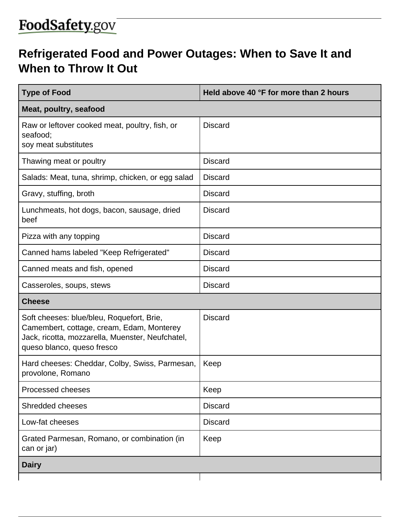## FoodSafety.gov

## **Refrigerated Food and Power Outages: When to Save It and When to Throw It Out**

| <b>Type of Food</b>                                                                                                                                                      | Held above 40 °F for more than 2 hours |  |
|--------------------------------------------------------------------------------------------------------------------------------------------------------------------------|----------------------------------------|--|
| Meat, poultry, seafood                                                                                                                                                   |                                        |  |
| Raw or leftover cooked meat, poultry, fish, or<br>seafood;<br>soy meat substitutes                                                                                       | <b>Discard</b>                         |  |
| Thawing meat or poultry                                                                                                                                                  | <b>Discard</b>                         |  |
| Salads: Meat, tuna, shrimp, chicken, or egg salad                                                                                                                        | <b>Discard</b>                         |  |
| Gravy, stuffing, broth                                                                                                                                                   | <b>Discard</b>                         |  |
| Lunchmeats, hot dogs, bacon, sausage, dried<br>beef                                                                                                                      | <b>Discard</b>                         |  |
| Pizza with any topping                                                                                                                                                   | <b>Discard</b>                         |  |
| Canned hams labeled "Keep Refrigerated"                                                                                                                                  | <b>Discard</b>                         |  |
| Canned meats and fish, opened                                                                                                                                            | <b>Discard</b>                         |  |
| Casseroles, soups, stews                                                                                                                                                 | <b>Discard</b>                         |  |
| <b>Cheese</b>                                                                                                                                                            |                                        |  |
| Soft cheeses: blue/bleu, Roquefort, Brie,<br>Camembert, cottage, cream, Edam, Monterey<br>Jack, ricotta, mozzarella, Muenster, Neufchatel,<br>queso blanco, queso fresco | <b>Discard</b>                         |  |
| Hard cheeses: Cheddar, Colby, Swiss, Parmesan,<br>provolone, Romano                                                                                                      | Keep                                   |  |
| Processed cheeses                                                                                                                                                        | Keep                                   |  |
| Shredded cheeses                                                                                                                                                         | <b>Discard</b>                         |  |
| Low-fat cheeses                                                                                                                                                          | <b>Discard</b>                         |  |
| Grated Parmesan, Romano, or combination (in<br>can or jar)                                                                                                               | Keep                                   |  |
| <b>Dairy</b>                                                                                                                                                             |                                        |  |
|                                                                                                                                                                          |                                        |  |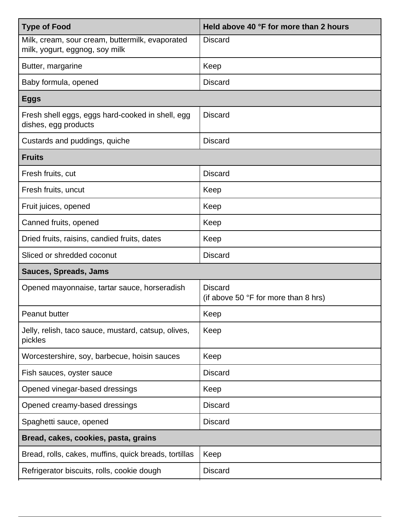| <b>Type of Food</b>                                                               | Held above 40 °F for more than 2 hours                          |  |
|-----------------------------------------------------------------------------------|-----------------------------------------------------------------|--|
| Milk, cream, sour cream, buttermilk, evaporated<br>milk, yogurt, eggnog, soy milk | <b>Discard</b>                                                  |  |
| Butter, margarine                                                                 | Keep                                                            |  |
| Baby formula, opened                                                              | <b>Discard</b>                                                  |  |
| <b>Eggs</b>                                                                       |                                                                 |  |
| Fresh shell eggs, eggs hard-cooked in shell, egg<br>dishes, egg products          | <b>Discard</b>                                                  |  |
| Custards and puddings, quiche                                                     | <b>Discard</b>                                                  |  |
| <b>Fruits</b>                                                                     |                                                                 |  |
| Fresh fruits, cut                                                                 | <b>Discard</b>                                                  |  |
| Fresh fruits, uncut                                                               | Keep                                                            |  |
| Fruit juices, opened                                                              | Keep                                                            |  |
| Canned fruits, opened                                                             | Keep                                                            |  |
| Dried fruits, raisins, candied fruits, dates                                      | Keep                                                            |  |
| Sliced or shredded coconut                                                        | <b>Discard</b>                                                  |  |
| <b>Sauces, Spreads, Jams</b>                                                      |                                                                 |  |
| Opened mayonnaise, tartar sauce, horseradish                                      | <b>Discard</b><br>(if above 50 $\degree$ F for more than 8 hrs) |  |
| <b>Peanut butter</b>                                                              | Keep                                                            |  |
| Jelly, relish, taco sauce, mustard, catsup, olives,<br>pickles                    | Keep                                                            |  |
| Worcestershire, soy, barbecue, hoisin sauces                                      | Keep                                                            |  |
| Fish sauces, oyster sauce                                                         | <b>Discard</b>                                                  |  |
| Opened vinegar-based dressings                                                    | Keep                                                            |  |
| Opened creamy-based dressings                                                     | <b>Discard</b>                                                  |  |
| Spaghetti sauce, opened                                                           | <b>Discard</b>                                                  |  |
| Bread, cakes, cookies, pasta, grains                                              |                                                                 |  |
| Bread, rolls, cakes, muffins, quick breads, tortillas                             | Keep                                                            |  |
| Refrigerator biscuits, rolls, cookie dough                                        | <b>Discard</b>                                                  |  |